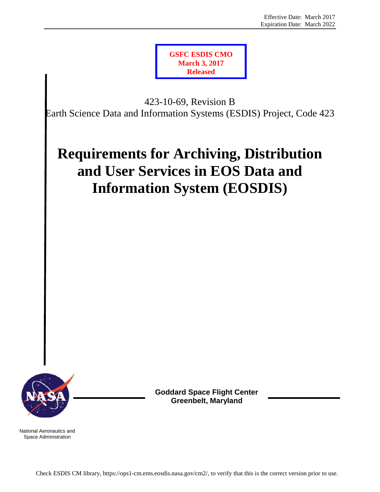

423-10-69, Revision B Earth Science Data and Information Systems (ESDIS) Project, Code 423

# **Requirements for Archiving, Distribution and User Services in EOS Data and Information System (EOSDIS)**



**Goddard Space Flight Center Greenbelt, Maryland**

National Aeronautics and Space Administration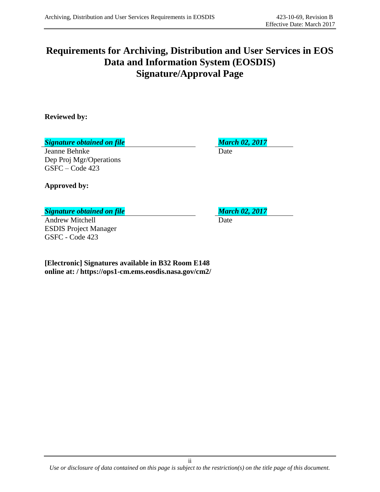# **Requirements for Archiving, Distribution and User Services in EOS Data and Information System (EOSDIS) Signature/Approval Page**

**Reviewed by:**

*Signature obtained on file March 02, 2017*

Jeanne Behnke Date Dep Proj Mgr/Operations GSFC – Code 423

**Approved by:**

#### *Signature obtained on file March 02, 2017*

Andrew Mitchell Date ESDIS Project Manager GSFC - Code 423

**[Electronic] Signatures available in B32 Room E148 online at: / https://ops1-cm.ems.eosdis.nasa.gov/cm2/**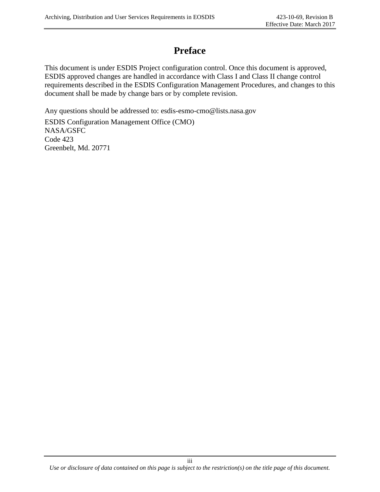# **Preface**

This document is under ESDIS Project configuration control. Once this document is approved, ESDIS approved changes are handled in accordance with Class I and Class II change control requirements described in the ESDIS Configuration Management Procedures, and changes to this document shall be made by change bars or by complete revision.

Any questions should be addressed to: esdis-esmo-cmo@lists.nasa.gov

ESDIS Configuration Management Office (CMO) NASA/GSFC Code 423 Greenbelt, Md. 20771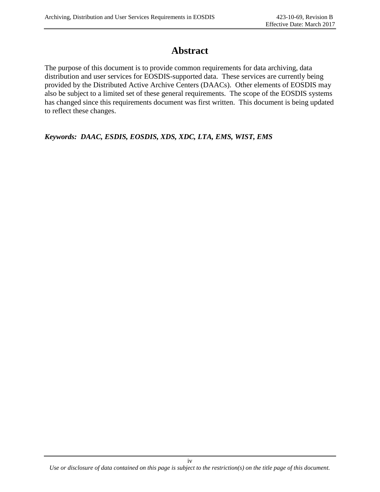## **Abstract**

The purpose of this document is to provide common requirements for data archiving, data distribution and user services for EOSDIS-supported data. These services are currently being provided by the Distributed Active Archive Centers (DAACs). Other elements of EOSDIS may also be subject to a limited set of these general requirements. The scope of the EOSDIS systems has changed since this requirements document was first written. This document is being updated to reflect these changes.

*Keywords: DAAC, ESDIS, EOSDIS, XDS, XDC, LTA, EMS, WIST, EMS*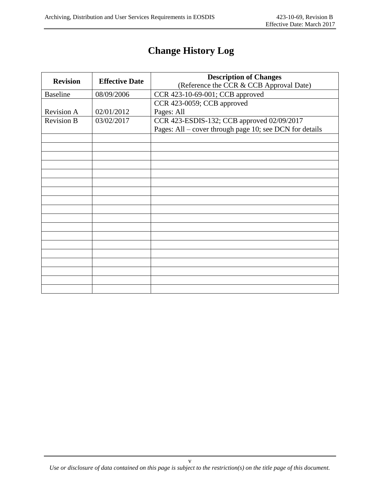# **Change History Log**

| <b>Revision</b>   | <b>Effective Date</b>                                    | <b>Description of Changes</b>                           |  |
|-------------------|----------------------------------------------------------|---------------------------------------------------------|--|
|                   |                                                          | (Reference the CCR & CCB Approval Date)                 |  |
| <b>Baseline</b>   | 08/09/2006                                               | CCR 423-10-69-001; CCB approved                         |  |
|                   |                                                          | CCR 423-0059; CCB approved                              |  |
| <b>Revision A</b> | 02/01/2012                                               | Pages: All                                              |  |
| <b>Revision B</b> | CCR 423-ESDIS-132; CCB approved 02/09/2017<br>03/02/2017 |                                                         |  |
|                   |                                                          | Pages: All – cover through page 10; see DCN for details |  |
|                   |                                                          |                                                         |  |
|                   |                                                          |                                                         |  |
|                   |                                                          |                                                         |  |
|                   |                                                          |                                                         |  |
|                   |                                                          |                                                         |  |
|                   |                                                          |                                                         |  |
|                   |                                                          |                                                         |  |
|                   |                                                          |                                                         |  |
|                   |                                                          |                                                         |  |
|                   |                                                          |                                                         |  |
|                   |                                                          |                                                         |  |
|                   |                                                          |                                                         |  |
|                   |                                                          |                                                         |  |
|                   |                                                          |                                                         |  |
|                   |                                                          |                                                         |  |
|                   |                                                          |                                                         |  |
|                   |                                                          |                                                         |  |
|                   |                                                          |                                                         |  |

v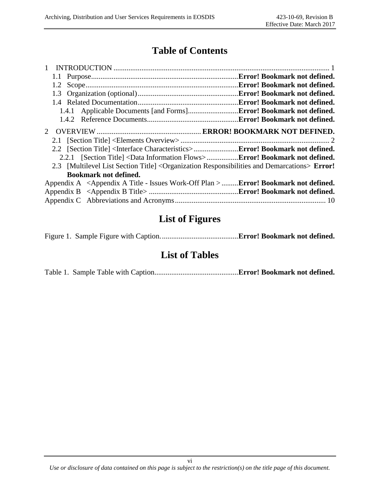## **Table of Contents**

| 1.2 |                                                                                                                       | .Error! Bookmark not defined. |
|-----|-----------------------------------------------------------------------------------------------------------------------|-------------------------------|
|     |                                                                                                                       |                               |
|     |                                                                                                                       | .Error! Bookmark not defined. |
|     |                                                                                                                       |                               |
|     |                                                                                                                       |                               |
|     |                                                                                                                       |                               |
|     |                                                                                                                       |                               |
|     |                                                                                                                       |                               |
|     | 2.2.1 [Section Title] <data flows="" information="">Error! Bookmark not defined.</data>                               |                               |
|     | 2.3 [Multilevel List Section Title] < Organization Responsibilities and Demarcations> <b>Error!</b>                   |                               |
|     | <b>Bookmark not defined.</b>                                                                                          |                               |
|     | Appendix A <appendix -="" a="" issues="" plan="" title="" work-off=""> <b>Error! Bookmark not defined.</b></appendix> |                               |
|     |                                                                                                                       |                               |
|     |                                                                                                                       |                               |

### **List of Figures**

Figure 1. Sample Figure with Caption..........................................**Error! Bookmark not defined.**

### **List of Tables**

Table 1. Sample Table with Caption.............................................**Error! Bookmark not defined.**

vi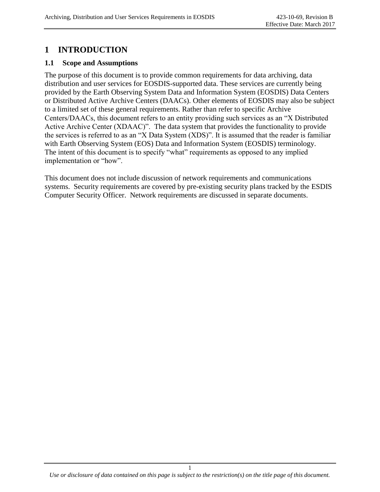### **1 INTRODUCTION**

#### **1.1 Scope and Assumptions**

The purpose of this document is to provide common requirements for data archiving, data distribution and user services for EOSDIS-supported data. These services are currently being provided by the Earth Observing System Data and Information System (EOSDIS) Data Centers or Distributed Active Archive Centers (DAACs). Other elements of EOSDIS may also be subject to a limited set of these general requirements. Rather than refer to specific Archive Centers/DAACs, this document refers to an entity providing such services as an "X Distributed Active Archive Center (XDAAC)". The data system that provides the functionality to provide the services is referred to as an "X Data System (XDS)". It is assumed that the reader is familiar with Earth Observing System (EOS) Data and Information System (EOSDIS) terminology. The intent of this document is to specify "what" requirements as opposed to any implied implementation or "how".

This document does not include discussion of network requirements and communications systems. Security requirements are covered by pre-existing security plans tracked by the ESDIS Computer Security Officer. Network requirements are discussed in separate documents.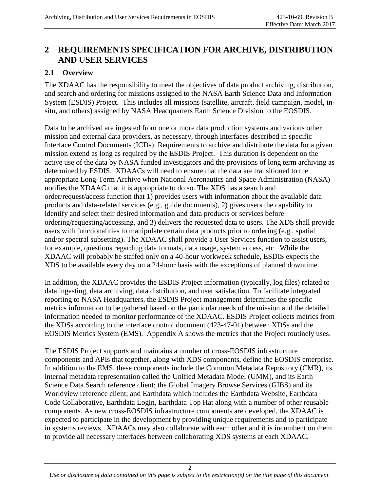### **2 REQUIREMENTS SPECIFICATION FOR ARCHIVE, DISTRIBUTION AND USER SERVICES**

#### **2.1 Overview**

The XDAAC has the responsibility to meet the objectives of data product archiving, distribution, and search and ordering for missions assigned to the NASA Earth Science Data and Information System (ESDIS) Project. This includes all missions (satellite, aircraft, field campaign, model, insitu, and others) assigned by NASA Headquarters Earth Science Division to the EOSDIS.

Data to be archived are ingested from one or more data production systems and various other mission and external data providers, as necessary, through interfaces described in specific Interface Control Documents (ICDs). Requirements to archive and distribute the data for a given mission extend as long as required by the ESDIS Project. This duration is dependent on the active use of the data by NASA funded investigators and the provisions of long term archiving as determined by ESDIS. XDAACs will need to ensure that the data are transitioned to the appropriate Long-Term Archive when National Aeronautics and Space Administration (NASA) notifies the XDAAC that it is appropriate to do so. The XDS has a search and order/request/access function that 1) provides users with information about the available data products and data-related services (e.g., guide documents), 2) gives users the capability to identify and select their desired information and data products or services before ordering/requesting/accessing, and 3) delivers the requested data to users. The XDS shall provide users with functionalities to manipulate certain data products prior to ordering (e.g., spatial and/or spectral subsetting). The XDAAC shall provide a User Services function to assist users, for example, questions regarding data formats, data usage, system access, etc. While the XDAAC will probably be staffed only on a 40-hour workweek schedule, ESDIS expects the XDS to be available every day on a 24-hour basis with the exceptions of planned downtime.

In addition, the XDAAC provides the ESDIS Project information (typically, log files) related to data ingesting, data archiving, data distribution, and user satisfaction. To facilitate integrated reporting to NASA Headquarters, the ESDIS Project management determines the specific metrics information to be gathered based on the particular needs of the mission and the detailed information needed to monitor performance of the XDAAC. ESDIS Project collects metrics from the XDSs according to the interface control document (423-47-01) between XDSs and the EOSDIS Metrics System (EMS). Appendix A shows the metrics that the Project routinely uses.

The ESDIS Project supports and maintains a number of cross-EOSDIS infrastructure components and APIs that together, along with XDS components, define the EOSDIS enterprise. In addition to the EMS, these components include the Common Metadata Repository (CMR), its internal metadata representation called the Unified Metadata Model (UMM), and its Earth Science Data Search reference client; the Global Imagery Browse Services (GIBS) and its Worldview reference client; and Earthdata which includes the Earthdata Website, Earthdata Code Collaborative, Earthdata Login, Earthdata Top Hat along with a number of other reusable components. As new cross-EOSDIS infrastructure components are developed, the XDAAC is expected to participate in the development by providing unique requirements and to participate in systems reviews. XDAACs may also collaborate with each other and it is incumbent on them to provide all necessary interfaces between collaborating XDS systems at each XDAAC.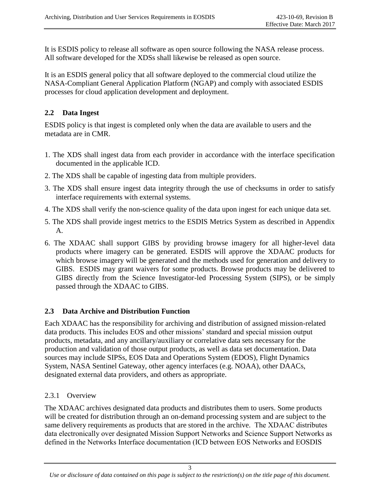It is ESDIS policy to release all software as open source following the NASA release process. All software developed for the XDSs shall likewise be released as open source.

It is an ESDIS general policy that all software deployed to the commercial cloud utilize the NASA-Compliant General Application Platform (NGAP) and comply with associated ESDIS processes for cloud application development and deployment.

#### **2.2 Data Ingest**

ESDIS policy is that ingest is completed only when the data are available to users and the metadata are in CMR.

- 1. The XDS shall ingest data from each provider in accordance with the interface specification documented in the applicable ICD.
- 2. The XDS shall be capable of ingesting data from multiple providers.
- 3. The XDS shall ensure ingest data integrity through the use of checksums in order to satisfy interface requirements with external systems.
- 4. The XDS shall verify the non-science quality of the data upon ingest for each unique data set.
- 5. The XDS shall provide ingest metrics to the ESDIS Metrics System as described in Appendix A.
- 6. The XDAAC shall support GIBS by providing browse imagery for all higher-level data products where imagery can be generated. ESDIS will approve the XDAAC products for which browse imagery will be generated and the methods used for generation and delivery to GIBS. ESDIS may grant waivers for some products. Browse products may be delivered to GIBS directly from the Science Investigator-led Processing System (SIPS), or be simply passed through the XDAAC to GIBS.

#### **2.3 Data Archive and Distribution Function**

Each XDAAC has the responsibility for archiving and distribution of assigned mission-related data products. This includes EOS and other missions' standard and special mission output products, metadata, and any ancillary/auxiliary or correlative data sets necessary for the production and validation of those output products, as well as data set documentation. Data sources may include SIPSs, EOS Data and Operations System (EDOS), Flight Dynamics System, NASA Sentinel Gateway, other agency interfaces (e.g. NOAA), other DAACs, designated external data providers, and others as appropriate.

#### 2.3.1 Overview

The XDAAC archives designated data products and distributes them to users. Some products will be created for distribution through an on-demand processing system and are subject to the same delivery requirements as products that are stored in the archive. The XDAAC distributes data electronically over designated Mission Support Networks and Science Support Networks as defined in the Networks Interface documentation (ICD between EOS Networks and EOSDIS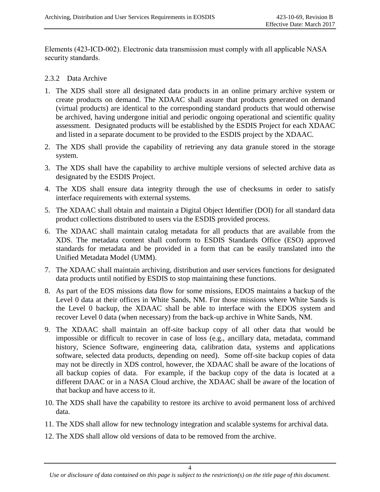Elements (423-ICD-002). Electronic data transmission must comply with all applicable NASA security standards.

#### 2.3.2 Data Archive

- 1. The XDS shall store all designated data products in an online primary archive system or create products on demand. The XDAAC shall assure that products generated on demand (virtual products) are identical to the corresponding standard products that would otherwise be archived, having undergone initial and periodic ongoing operational and scientific quality assessment. Designated products will be established by the ESDIS Project for each XDAAC and listed in a separate document to be provided to the ESDIS project by the XDAAC.
- 2. The XDS shall provide the capability of retrieving any data granule stored in the storage system.
- 3. The XDS shall have the capability to archive multiple versions of selected archive data as designated by the ESDIS Project.
- 4. The XDS shall ensure data integrity through the use of checksums in order to satisfy interface requirements with external systems.
- 5. The XDAAC shall obtain and maintain a Digital Object Identifier (DOI) for all standard data product collections distributed to users via the ESDIS provided process.
- 6. The XDAAC shall maintain catalog metadata for all products that are available from the XDS. The metadata content shall conform to ESDIS Standards Office (ESO) approved standards for metadata and be provided in a form that can be easily translated into the Unified Metadata Model (UMM).
- 7. The XDAAC shall maintain archiving, distribution and user services functions for designated data products until notified by ESDIS to stop maintaining these functions.
- 8. As part of the EOS missions data flow for some missions, EDOS maintains a backup of the Level 0 data at their offices in White Sands, NM. For those missions where White Sands is the Level 0 backup, the XDAAC shall be able to interface with the EDOS system and recover Level 0 data (when necessary) from the back-up archive in White Sands, NM.
- 9. The XDAAC shall maintain an off-site backup copy of all other data that would be impossible or difficult to recover in case of loss (e.g., ancillary data, metadata, command history, Science Software, engineering data, calibration data, systems and applications software, selected data products, depending on need). Some off-site backup copies of data may not be directly in XDS control, however, the XDAAC shall be aware of the locations of all backup copies of data. For example, if the backup copy of the data is located at a different DAAC or in a NASA Cloud archive, the XDAAC shall be aware of the location of that backup and have access to it.
- 10. The XDS shall have the capability to restore its archive to avoid permanent loss of archived data.
- 11. The XDS shall allow for new technology integration and scalable systems for archival data.
- 12. The XDS shall allow old versions of data to be removed from the archive.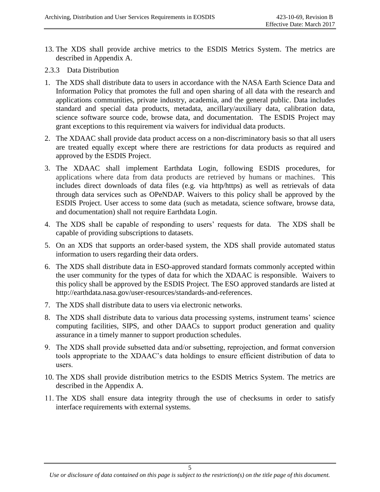- 13. The XDS shall provide archive metrics to the ESDIS Metrics System. The metrics are described in Appendix A.
- 2.3.3 Data Distribution
- 1. The XDS shall distribute data to users in accordance with the NASA Earth Science Data and Information Policy that promotes the full and open sharing of all data with the research and applications communities, private industry, academia, and the general public. Data includes standard and special data products, metadata, ancillary/auxiliary data, calibration data, science software source code, browse data, and documentation. The ESDIS Project may grant exceptions to this requirement via waivers for individual data products.
- 2. The XDAAC shall provide data product access on a non-discriminatory basis so that all users are treated equally except where there are restrictions for data products as required and approved by the ESDIS Project.
- 3. The XDAAC shall implement Earthdata Login, following ESDIS procedures, for applications where data from data products are retrieved by humans or machines. This includes direct downloads of data files (e.g. via http/https) as well as retrievals of data through data services such as OPeNDAP. Waivers to this policy shall be approved by the ESDIS Project. User access to some data (such as metadata, science software, browse data, and documentation) shall not require Earthdata Login.
- 4. The XDS shall be capable of responding to users' requests for data. The XDS shall be capable of providing subscriptions to datasets.
- 5. On an XDS that supports an order-based system, the XDS shall provide automated status information to users regarding their data orders.
- 6. The XDS shall distribute data in ESO-approved standard formats commonly accepted within the user community for the types of data for which the XDAAC is responsible. Waivers to this policy shall be approved by the ESDIS Project. The ESO approved standards are listed at http://earthdata.nasa.gov/user-resources/standards-and-references.
- 7. The XDS shall distribute data to users via electronic networks.
- 8. The XDS shall distribute data to various data processing systems, instrument teams' science computing facilities, SIPS, and other DAACs to support product generation and quality assurance in a timely manner to support production schedules.
- 9. The XDS shall provide subsetted data and/or subsetting, reprojection, and format conversion tools appropriate to the XDAAC's data holdings to ensure efficient distribution of data to users.
- 10. The XDS shall provide distribution metrics to the ESDIS Metrics System. The metrics are described in the Appendix A.
- 11. The XDS shall ensure data integrity through the use of checksums in order to satisfy interface requirements with external systems.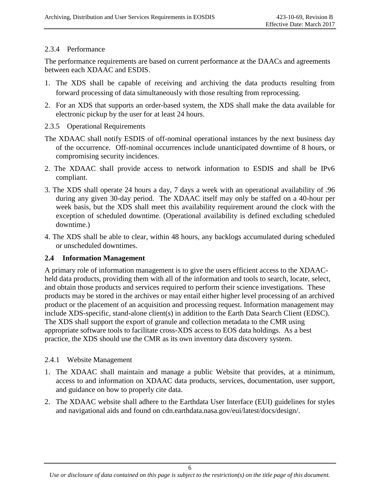#### 2.3.4 Performance

The performance requirements are based on current performance at the DAACs and agreements between each XDAAC and ESDIS.

- 1. The XDS shall be capable of receiving and archiving the data products resulting from forward processing of data simultaneously with those resulting from reprocessing.
- 2. For an XDS that supports an order-based system, the XDS shall make the data available for electronic pickup by the user for at least 24 hours.
- 2.3.5 Operational Requirements
- The XDAAC shall notify ESDIS of off-nominal operational instances by the next business day of the occurrence. Off-nominal occurrences include unanticipated downtime of 8 hours, or compromising security incidences.
- 2. The XDAAC shall provide access to network information to ESDIS and shall be IPv6 compliant.
- 3. The XDS shall operate 24 hours a day, 7 days a week with an operational availability of .96 during any given 30-day period. The XDAAC itself may only be staffed on a 40-hour per week basis, but the XDS shall meet this availability requirement around the clock with the exception of scheduled downtime. (Operational availability is defined excluding scheduled downtime.)
- 4. The XDS shall be able to clear, within 48 hours, any backlogs accumulated during scheduled or unscheduled downtimes.

#### **2.4 Information Management**

A primary role of information management is to give the users efficient access to the XDAACheld data products, providing them with all of the information and tools to search, locate, select, and obtain those products and services required to perform their science investigations. These products may be stored in the archives or may entail either higher level processing of an archived product or the placement of an acquisition and processing request. Information management may include XDS-specific, stand-alone client(s) in addition to the Earth Data Search Client (EDSC). The XDS shall support the export of granule and collection metadata to the CMR using appropriate software tools to facilitate cross-XDS access to EOS data holdings. As a best practice, the XDS should use the CMR as its own inventory data discovery system.

#### 2.4.1 Website Management

- 1. The XDAAC shall maintain and manage a public Website that provides, at a minimum, access to and information on XDAAC data products, services, documentation, user support, and guidance on how to properly cite data.
- 2. The XDAAC website shall adhere to the Earthdata User Interface (EUI) guidelines for styles and navigational aids and found on cdn.earthdata.nasa.gov/eui/latest/docs/design/.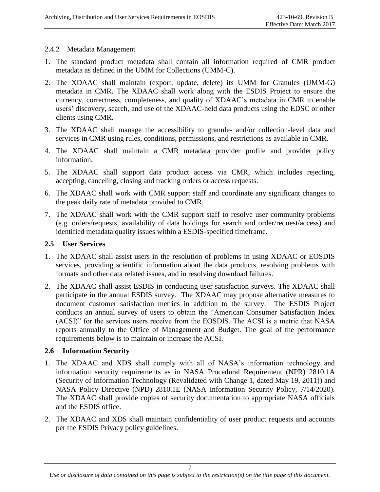#### 2.4.2 Metadata Management

- 1. The standard product metadata shall contain all information required of CMR product metadata as defined in the UMM for Collections (UMM-C).
- 2. The XDAAC shall maintain (export, update, delete) its UMM for Granules (UMM-G) metadata in CMR. The XDAAC shall work along with the ESDIS Project to ensure the currency, correctness, completeness, and quality of XDAAC's metadata in CMR to enable users' discovery, search, and use of the XDAAC-held data products using the EDSC or other clients using CMR.
- 3. The XDAAC shall manage the accessibility to granule- and/or collection-level data and services in CMR using rules, conditions, permissions, and restrictions as available in CMR.
- 4. The XDAAC shall maintain a CMR metadata provider profile and provider policy information.
- 5. The XDAAC shall support data product access via CMR, which includes rejecting, accepting, canceling, closing and tracking orders or access requests.
- 6. The XDAAC shall work with CMR support staff and coordinate any significant changes to the peak daily rate of metadata provided to CMR.
- 7. The XDAAC shall work with the CMR support staff to resolve user community problems (e.g. orders/requests, availability of data holdings for search and order/request/access) and identified metadata quality issues within a ESDIS-specified timeframe.

#### **2.5 User Services**

- 1. The XDAAC shall assist users in the resolution of problems in using XDAAC or EOSDIS services, providing scientific information about the data products, resolving problems with formats and other data related issues, and in resolving download failures.
- 2. The XDAAC shall assist ESDIS in conducting user satisfaction surveys. The XDAAC shall participate in the annual ESDIS survey. The XDAAC may propose alternative measures to document customer satisfaction metrics in addition to the survey. The ESDIS Project conducts an annual survey of users to obtain the "American Consumer Satisfaction Index (ACSI)" for the services users receive from the EOSDIS. The ACSI is a metric that NASA reports annually to the Office of Management and Budget. The goal of the performance requirements below is to maintain or increase the ACSI.

#### **2.6 Information Security**

- 1. The XDAAC and XDS shall comply with all of NASA's information technology and information security requirements as in NASA Procedural Requirement (NPR) 2810.1A (Security of Information Technology (Revalidated with Change 1, dated May 19, 2011)) and NASA Policy Directive (NPD) 2810.1E (NASA Information Security Policy, 7/14/2020). The XDAAC shall provide copies of security documentation to appropriate NASA officials and the ESDIS office.
- 2. The XDAAC and XDS shall maintain confidentiality of user product requests and accounts per the ESDIS Privacy policy guidelines.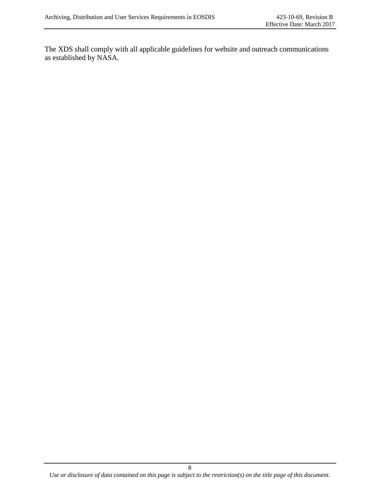The XDS shall comply with all applicable guidelines for website and outreach communications as established by NASA.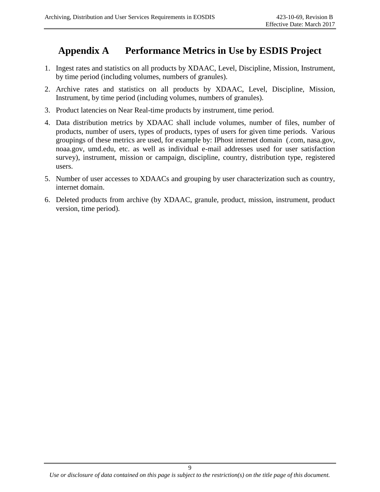# **Appendix A Performance Metrics in Use by ESDIS Project**

- 1. Ingest rates and statistics on all products by XDAAC, Level, Discipline, Mission, Instrument, by time period (including volumes, numbers of granules).
- 2. Archive rates and statistics on all products by XDAAC, Level, Discipline, Mission, Instrument, by time period (including volumes, numbers of granules).
- 3. Product latencies on Near Real-time products by instrument, time period.
- 4. Data distribution metrics by XDAAC shall include volumes, number of files, number of products, number of users, types of products, types of users for given time periods. Various groupings of these metrics are used, for example by: IPhost internet domain (.com, nasa.gov, noaa.gov, umd.edu, etc. as well as individual e-mail addresses used for user satisfaction survey), instrument, mission or campaign, discipline, country, distribution type, registered users.
- 5. Number of user accesses to XDAACs and grouping by user characterization such as country, internet domain.
- 6. Deleted products from archive (by XDAAC, granule, product, mission, instrument, product version, time period).